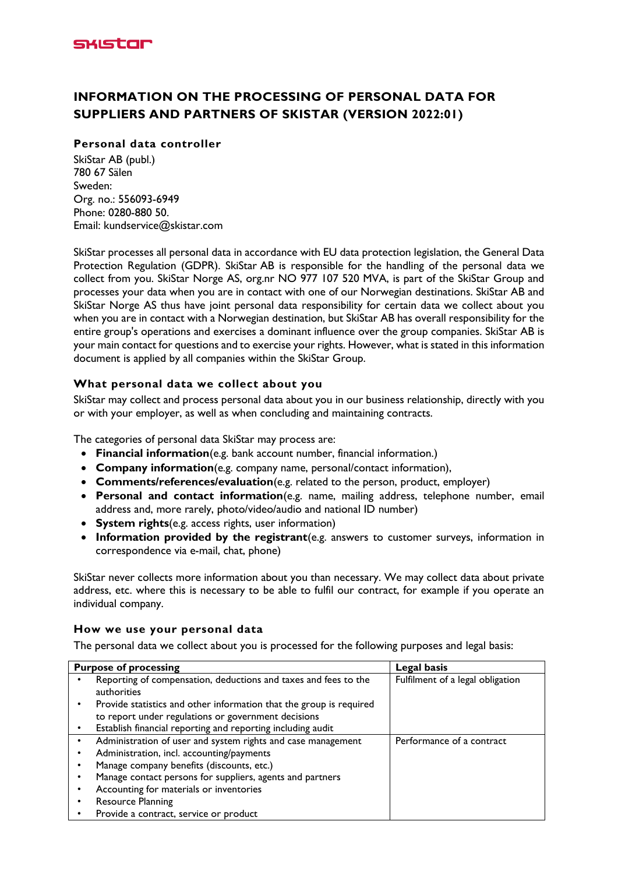

# **INFORMATION ON THE PROCESSING OF PERSONAL DATA FOR SUPPLIERS AND PARTNERS OF SKISTAR (VERSION 2022:01)**

## **Personal data controller**

SkiStar AB (publ.) 780 67 Sälen Sweden: Org. no.: 556093-6949 Phone: 0280-880 50. Email: kundservice@skistar.com

SkiStar processes all personal data in accordance with EU data protection legislation, the General Data Protection Regulation (GDPR). SkiStar AB is responsible for the handling of the personal data we collect from you. SkiStar Norge AS, org.nr NO 977 107 520 MVA, is part of the SkiStar Group and processes your data when you are in contact with one of our Norwegian destinations. SkiStar AB and SkiStar Norge AS thus have joint personal data responsibility for certain data we collect about you when you are in contact with a Norwegian destination, but SkiStar AB has overall responsibility for the entire group's operations and exercises a dominant influence over the group companies. SkiStar AB is your main contact for questions and to exercise your rights. However, what is stated in this information document is applied by all companies within the SkiStar Group.

## **What personal data we collect about you**

SkiStar may collect and process personal data about you in our business relationship, directly with you or with your employer, as well as when concluding and maintaining contracts.

The categories of personal data SkiStar may process are:

- **Financial information**(e.g. bank account number, financial information.)
- **Company information**(e.g. company name, personal/contact information),
- **Comments/references/evaluation**(e.g. related to the person, product, employer)
- **Personal and contact information**(e.g. name, mailing address, telephone number, email address and, more rarely, photo/video/audio and national ID number)
- **System rights**(e.g. access rights, user information)
- **Information provided by the registrant**(e.g. answers to customer surveys, information in correspondence via e-mail, chat, phone)

SkiStar never collects more information about you than necessary. We may collect data about private address, etc. where this is necessary to be able to fulfil our contract, for example if you operate an individual company.

#### **How we use your personal data**

The personal data we collect about you is processed for the following purposes and legal basis:

| <b>Purpose of processing</b> |                                                                                                                            | Legal basis                      |
|------------------------------|----------------------------------------------------------------------------------------------------------------------------|----------------------------------|
|                              | Reporting of compensation, deductions and taxes and fees to the<br>authorities                                             | Fulfilment of a legal obligation |
|                              | Provide statistics and other information that the group is required<br>to report under regulations or government decisions |                                  |
|                              | Establish financial reporting and reporting including audit                                                                |                                  |
|                              | Administration of user and system rights and case management                                                               | Performance of a contract        |
|                              | Administration, incl. accounting/payments                                                                                  |                                  |
|                              | Manage company benefits (discounts, etc.)                                                                                  |                                  |
|                              | Manage contact persons for suppliers, agents and partners                                                                  |                                  |
|                              | Accounting for materials or inventories                                                                                    |                                  |
|                              | <b>Resource Planning</b>                                                                                                   |                                  |
|                              | Provide a contract, service or product                                                                                     |                                  |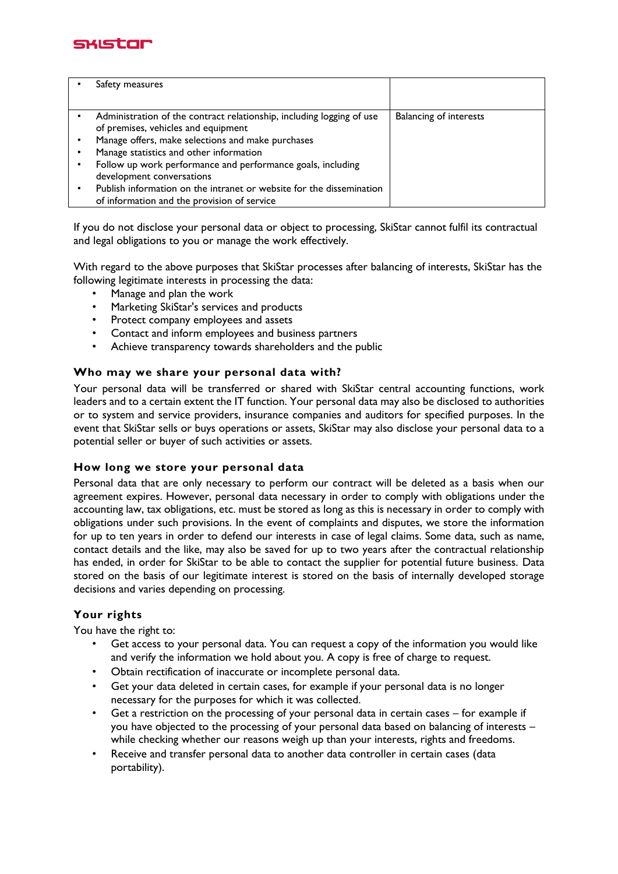

| Safety measures                                                                                                     |                               |
|---------------------------------------------------------------------------------------------------------------------|-------------------------------|
|                                                                                                                     |                               |
| Administration of the contract relationship, including logging of use<br>of premises, vehicles and equipment        | <b>Balancing of interests</b> |
| Manage offers, make selections and make purchases                                                                   |                               |
| Manage statistics and other information                                                                             |                               |
| Follow up work performance and performance goals, including<br>development conversations                            |                               |
| Publish information on the intranet or website for the dissemination<br>of information and the provision of service |                               |

If you do not disclose your personal data or object to processing, SkiStar cannot fulfil its contractual and legal obligations to you or manage the work effectively.

With regard to the above purposes that SkiStar processes after balancing of interests, SkiStar has the following legitimate interests in processing the data:

- Manage and plan the work
- Marketing SkiStar's services and products
- Protect company employees and assets
- Contact and inform employees and business partners
- Achieve transparency towards shareholders and the public

### **Who may we share your personal data with?**

Your personal data will be transferred or shared with SkiStar central accounting functions, work leaders and to a certain extent the IT function. Your personal data may also be disclosed to authorities or to system and service providers, insurance companies and auditors for specified purposes. In the event that SkiStar sells or buys operations or assets, SkiStar may also disclose your personal data to a potential seller or buyer of such activities or assets.

#### **How long we store your personal data**

Personal data that are only necessary to perform our contract will be deleted as a basis when our agreement expires. However, personal data necessary in order to comply with obligations under the accounting law, tax obligations, etc. must be stored as long as this is necessary in order to comply with obligations under such provisions. In the event of complaints and disputes, we store the information for up to ten years in order to defend our interests in case of legal claims. Some data, such as name, contact details and the like, may also be saved for up to two years after the contractual relationship has ended, in order for SkiStar to be able to contact the supplier for potential future business. Data stored on the basis of our legitimate interest is stored on the basis of internally developed storage decisions and varies depending on processing.

## **Your rights**

You have the right to:

- Get access to your personal data. You can request a copy of the information you would like and verify the information we hold about you. A copy is free of charge to request.
- Obtain rectification of inaccurate or incomplete personal data.
- Get your data deleted in certain cases, for example if your personal data is no longer necessary for the purposes for which it was collected.
- Get a restriction on the processing of your personal data in certain cases for example if you have objected to the processing of your personal data based on balancing of interests – while checking whether our reasons weigh up than your interests, rights and freedoms.
- Receive and transfer personal data to another data controller in certain cases (data portability).